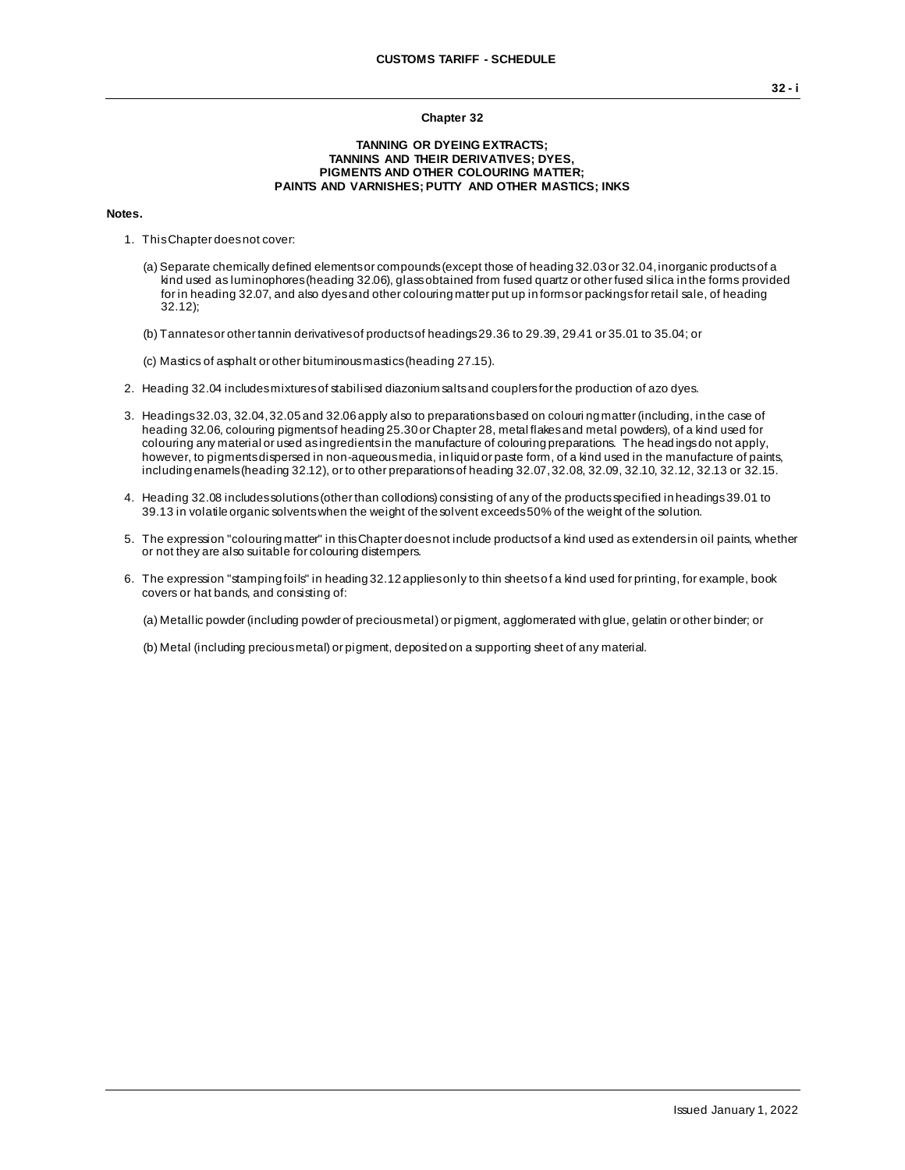## **Chapter 32**

### **TANNING OR DYEING EXTRACTS; TANNINS AND THEIR DERIVATIVES; DYES, PIGMENTS AND OTHER COLOURING MATTER; PAINTS AND VARNISHES; PUTTY AND OTHER MASTICS; INKS**

#### **Notes.**

- 1. This Chapter does not cover:
	- (a) Separate chemically defined elements or compounds (except those of heading 32.03 or 32.04, inorganic products of a kind used as luminophores (heading 32.06), glass obtained from fused quartz or other fused silica in the forms provided for in heading 32.07, and also dyes and other colouring matter put up in forms or packings for retail sale, of heading 32.12);
	- (b) Tannates or other tannin derivatives of products of headings 29.36 to 29.39, 29.41 or 35.01 to 35.04; or
	- (c) Mastics of asphalt or other bituminous mastics (heading 27.15).
- 2. Heading 32.04 includes mixtures of stabilised diazonium salts and couplers for the production of azo dyes.
- 3. Headings 32.03, 32.04, 32.05 and 32.06 apply also to preparations based on colouri ng matter (including, in the case of heading 32.06, colouring pigments of heading 25.30 or Chapter 28, metal flakes and metal powders), of a kind used for colouring any material or used as ingredients in the manufacture of colouring preparations. The head ings do not apply, however, to pigments dispersed in non-aqueous media, in liquid or paste form, of a kind used in the manufacture of paints, including enamels (heading 32.12), or to other preparations of heading 32.07, 32.08, 32.09, 32.10, 32.12, 32.13 or 32.15.
- 4. Heading 32.08 includes solutions (other than collodions) consisting of any of the products specified in headings 39.01 to 39.13 in volatile organic solvents when the weight of the solvent exceeds 50% of the weight of the solution.
- 5. The expression "colouring matter" in this Chapter does not include products of a kind used as extenders in oil paints, whether or not they are also suitable for colouring distempers.
- 6. The expression "stamping foils" in heading 32.12 applies only to thin sheets of a kind used for printing, for example, book covers or hat bands, and consisting of:

(a) Metallic powder (including powder of precious metal) or pigment, agglomerated with glue, gelatin or other binder; or

(b) Metal (including precious metal) or pigment, deposited on a supporting sheet of any material.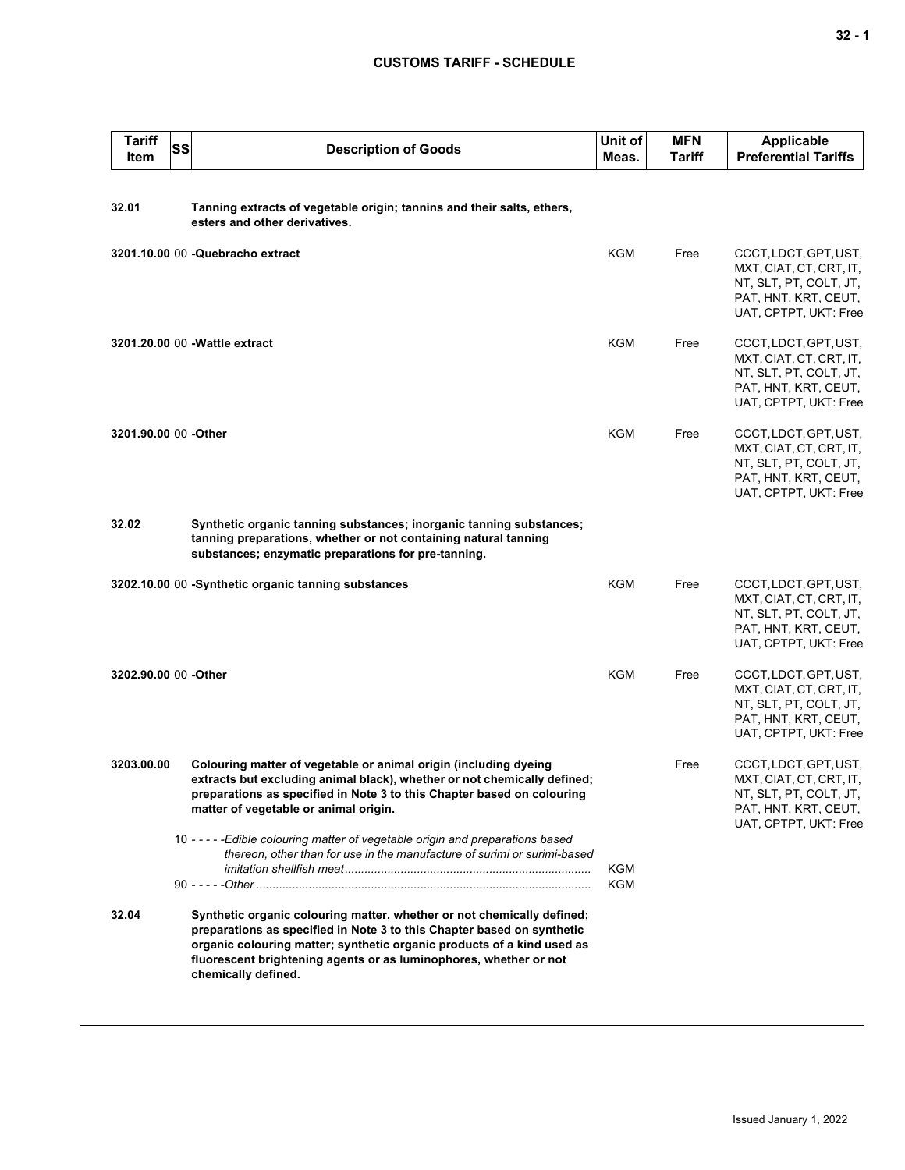# **CUSTOMS TARIFF - SCHEDULE**

| <b>Tariff</b><br>Item | <b>SS</b> | <b>Description of Goods</b>                                                                                                                                                                                                                                                                                            | Unit of<br>Meas. | <b>MFN</b><br>Tariff | <b>Applicable</b><br><b>Preferential Tariffs</b>                                                                            |
|-----------------------|-----------|------------------------------------------------------------------------------------------------------------------------------------------------------------------------------------------------------------------------------------------------------------------------------------------------------------------------|------------------|----------------------|-----------------------------------------------------------------------------------------------------------------------------|
| 32.01                 |           | Tanning extracts of vegetable origin; tannins and their salts, ethers,<br>esters and other derivatives.                                                                                                                                                                                                                |                  |                      |                                                                                                                             |
|                       |           | 3201.10.00 00 - Quebracho extract                                                                                                                                                                                                                                                                                      | <b>KGM</b>       | Free                 | CCCT, LDCT, GPT, UST,<br>MXT, CIAT, CT, CRT, IT,<br>NT, SLT, PT, COLT, JT,<br>PAT, HNT, KRT, CEUT,<br>UAT, CPTPT, UKT: Free |
|                       |           | 3201.20.00 00 - Wattle extract                                                                                                                                                                                                                                                                                         | <b>KGM</b>       | Free                 | CCCT, LDCT, GPT, UST,<br>MXT, CIAT, CT, CRT, IT,<br>NT, SLT, PT, COLT, JT,<br>PAT, HNT, KRT, CEUT,<br>UAT, CPTPT, UKT: Free |
| 3201.90.00 00 -Other  |           |                                                                                                                                                                                                                                                                                                                        | <b>KGM</b>       | Free                 | CCCT, LDCT, GPT, UST,<br>MXT, CIAT, CT, CRT, IT,<br>NT, SLT, PT, COLT, JT,<br>PAT, HNT, KRT, CEUT,<br>UAT, CPTPT, UKT: Free |
| 32.02                 |           | Synthetic organic tanning substances; inorganic tanning substances;<br>tanning preparations, whether or not containing natural tanning<br>substances; enzymatic preparations for pre-tanning.                                                                                                                          |                  |                      |                                                                                                                             |
|                       |           | 3202.10.00 00 -Synthetic organic tanning substances                                                                                                                                                                                                                                                                    | KGM              | Free                 | CCCT, LDCT, GPT, UST,<br>MXT, CIAT, CT, CRT, IT,<br>NT, SLT, PT, COLT, JT,<br>PAT, HNT, KRT, CEUT,<br>UAT, CPTPT, UKT: Free |
| 3202.90.00 00 -Other  |           |                                                                                                                                                                                                                                                                                                                        | <b>KGM</b>       | Free                 | CCCT, LDCT, GPT, UST,<br>MXT, CIAT, CT, CRT, IT,<br>NT, SLT, PT, COLT, JT,<br>PAT, HNT, KRT, CEUT,<br>UAT, CPTPT, UKT: Free |
| 3203.00.00            |           | Colouring matter of vegetable or animal origin (including dyeing<br>extracts but excluding animal black), whether or not chemically defined;<br>preparations as specified in Note 3 to this Chapter based on colouring<br>matter of vegetable or animal origin.                                                        |                  | Free                 | CCCT, LDCT, GPT, UST,<br>MXT, CIAT, CT, CRT, IT,<br>NT, SLT, PT, COLT, JT,<br>PAT, HNT, KRT, CEUT,<br>UAT, CPTPT, UKT: Free |
|                       |           | 10 - - - - - Edible colouring matter of vegetable origin and preparations based<br>thereon, other than for use in the manufacture of surimi or surimi-based                                                                                                                                                            | KGM<br>KGM       |                      |                                                                                                                             |
| 32.04                 |           | Synthetic organic colouring matter, whether or not chemically defined;<br>preparations as specified in Note 3 to this Chapter based on synthetic<br>organic colouring matter; synthetic organic products of a kind used as<br>fluorescent brightening agents or as luminophores, whether or not<br>chemically defined. |                  |                      |                                                                                                                             |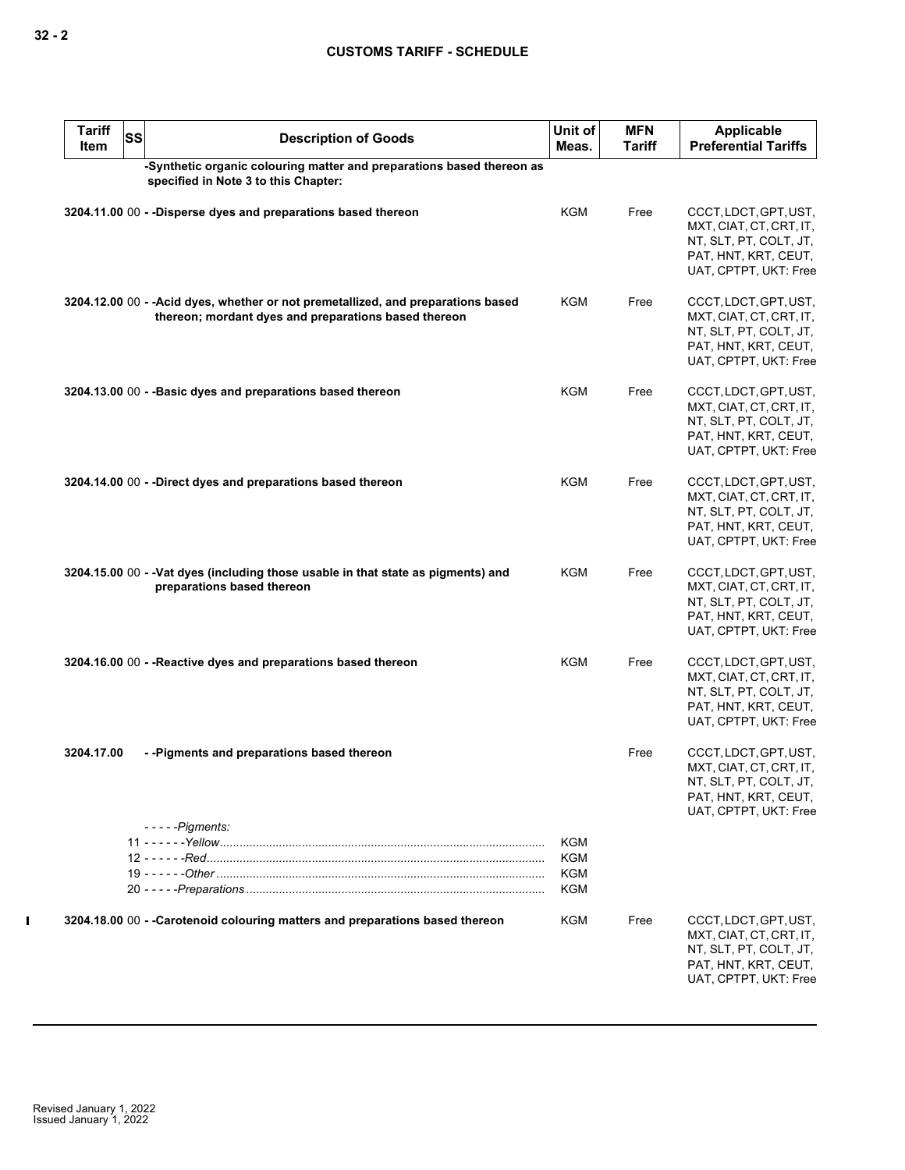| <b>Tariff</b><br>Item                                                                                         | SS | <b>Description of Goods</b>                                                                                                               | Unit of<br>Meas.                       | <b>MFN</b><br><b>Tariff</b> | <b>Applicable</b><br><b>Preferential Tariffs</b>                                                                            |  |  |  |
|---------------------------------------------------------------------------------------------------------------|----|-------------------------------------------------------------------------------------------------------------------------------------------|----------------------------------------|-----------------------------|-----------------------------------------------------------------------------------------------------------------------------|--|--|--|
| -Synthetic organic colouring matter and preparations based thereon as<br>specified in Note 3 to this Chapter: |    |                                                                                                                                           |                                        |                             |                                                                                                                             |  |  |  |
|                                                                                                               |    | 3204.11.00 00 - -Disperse dyes and preparations based thereon                                                                             | <b>KGM</b>                             | Free                        | CCCT, LDCT, GPT, UST,<br>MXT, CIAT, CT, CRT, IT,<br>NT, SLT, PT, COLT, JT,<br>PAT, HNT, KRT, CEUT,<br>UAT, CPTPT, UKT: Free |  |  |  |
|                                                                                                               |    | 3204.12.00 00 - - Acid dyes, whether or not premetallized, and preparations based<br>thereon; mordant dyes and preparations based thereon | KGM                                    | Free                        | CCCT, LDCT, GPT, UST,<br>MXT, CIAT, CT, CRT, IT,<br>NT, SLT, PT, COLT, JT,<br>PAT, HNT, KRT, CEUT,<br>UAT, CPTPT, UKT: Free |  |  |  |
|                                                                                                               |    | 3204.13.00 00 - - Basic dyes and preparations based thereon                                                                               | <b>KGM</b>                             | Free                        | CCCT, LDCT, GPT, UST,<br>MXT, CIAT, CT, CRT, IT,<br>NT, SLT, PT, COLT, JT,<br>PAT, HNT, KRT, CEUT,<br>UAT, CPTPT, UKT: Free |  |  |  |
|                                                                                                               |    | 3204.14.00 00 - -Direct dyes and preparations based thereon                                                                               | <b>KGM</b>                             | Free                        | CCCT, LDCT, GPT, UST,<br>MXT, CIAT, CT, CRT, IT,<br>NT, SLT, PT, COLT, JT,<br>PAT, HNT, KRT, CEUT,<br>UAT, CPTPT, UKT: Free |  |  |  |
|                                                                                                               |    | 3204.15.00 00 - - Vat dyes (including those usable in that state as pigments) and<br>preparations based thereon                           | KGM                                    | Free                        | CCCT, LDCT, GPT, UST,<br>MXT, CIAT, CT, CRT, IT,<br>NT, SLT, PT, COLT, JT,<br>PAT, HNT, KRT, CEUT,<br>UAT, CPTPT, UKT: Free |  |  |  |
|                                                                                                               |    | 3204.16.00 00 - - Reactive dyes and preparations based thereon                                                                            | <b>KGM</b>                             | Free                        | CCCT, LDCT, GPT, UST,<br>MXT, CIAT, CT, CRT, IT,<br>NT, SLT, PT, COLT, JT,<br>PAT, HNT, KRT, CEUT,<br>UAT, CPTPT, UKT: Free |  |  |  |
| 3204.17.00                                                                                                    |    | --Pigments and preparations based thereon                                                                                                 |                                        | Free                        | CCCT, LDCT, GPT, UST,<br>MXT, CIAT, CT, CRT, IT,<br>NT, SLT, PT, COLT, JT,<br>PAT, HNT, KRT, CEUT,<br>UAT, CPTPT, UKT: Free |  |  |  |
|                                                                                                               |    | - - - - - Pigments:                                                                                                                       | KGM<br><b>KGM</b><br><b>KGM</b><br>KGM |                             |                                                                                                                             |  |  |  |
|                                                                                                               |    | 3204.18.00 00 - - Carotenoid colouring matters and preparations based thereon                                                             | KGM                                    | Free                        | CCCT, LDCT, GPT, UST,<br>MXT, CIAT, CT, CRT, IT,<br>NT, SLT, PT, COLT, JT,<br>PAT, HNT, KRT, CEUT,<br>UAT, CPTPT, UKT: Free |  |  |  |

 $\mathbf{I}$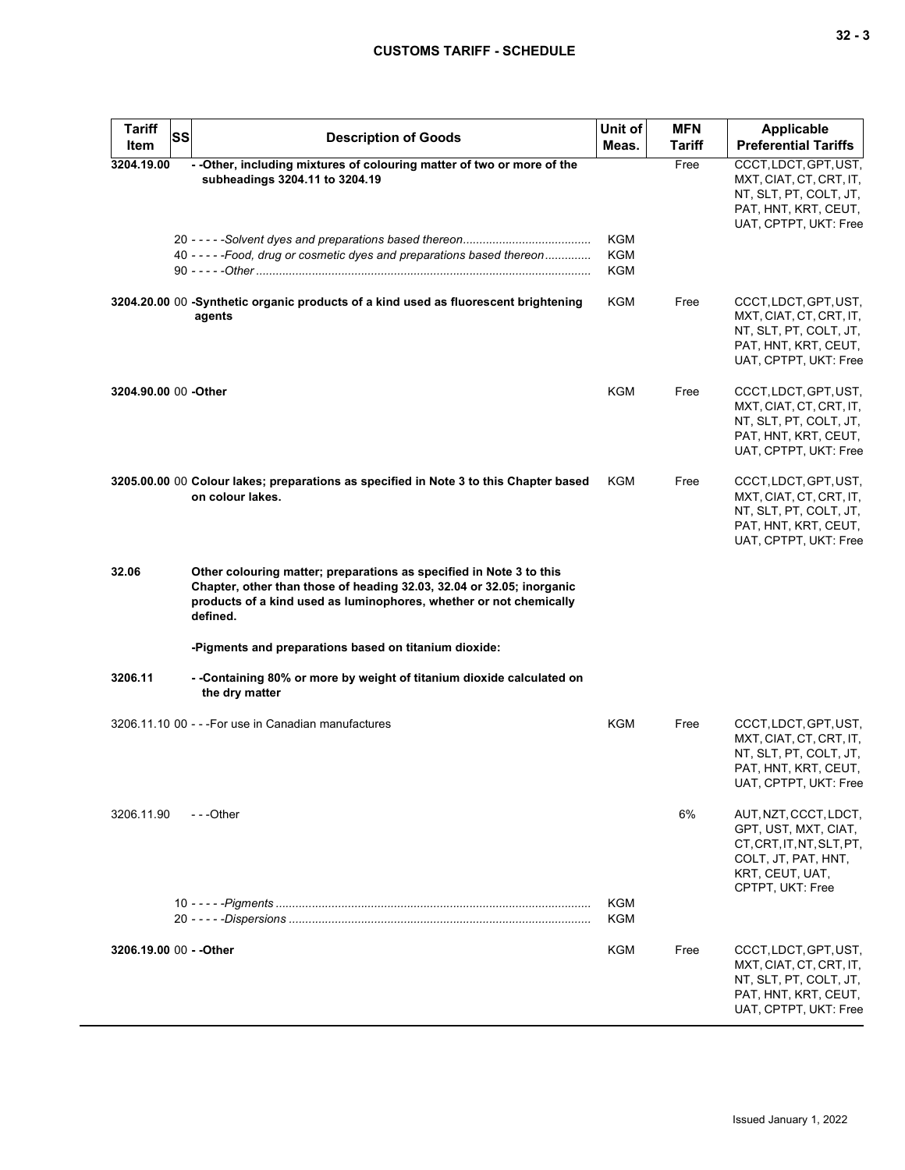| <b>Tariff</b><br>Item   | <b>SS</b><br><b>Description of Goods</b>                                                                                                                                                                                       | Unit of<br>Meas.                       | <b>MFN</b><br>Tariff | <b>Applicable</b><br><b>Preferential Tariffs</b>                                                                                         |
|-------------------------|--------------------------------------------------------------------------------------------------------------------------------------------------------------------------------------------------------------------------------|----------------------------------------|----------------------|------------------------------------------------------------------------------------------------------------------------------------------|
| 3204.19.00              | - - Other, including mixtures of colouring matter of two or more of the<br>subheadings 3204.11 to 3204.19<br>40 - - - - - Food, drug or cosmetic dyes and preparations based thereon                                           | <b>KGM</b><br><b>KGM</b><br><b>KGM</b> | Free                 | CCCT, LDCT, GPT, UST,<br>MXT, CIAT, CT, CRT, IT,<br>NT, SLT, PT, COLT, JT,<br>PAT, HNT, KRT, CEUT,<br>UAT, CPTPT, UKT: Free              |
|                         | 3204.20.00 00 -Synthetic organic products of a kind used as fluorescent brightening<br>agents                                                                                                                                  | <b>KGM</b>                             | Free                 | CCCT, LDCT, GPT, UST,<br>MXT, CIAT, CT, CRT, IT,<br>NT, SLT, PT, COLT, JT,<br>PAT, HNT, KRT, CEUT,<br>UAT, CPTPT, UKT: Free              |
| 3204.90.00 00 -Other    |                                                                                                                                                                                                                                | KGM                                    | Free                 | CCCT, LDCT, GPT, UST,<br>MXT, CIAT, CT, CRT, IT,<br>NT, SLT, PT, COLT, JT,<br>PAT, HNT, KRT, CEUT,<br>UAT, CPTPT, UKT: Free              |
|                         | 3205.00.00 00 Colour lakes; preparations as specified in Note 3 to this Chapter based<br>on colour lakes.                                                                                                                      | KGM                                    | Free                 | CCCT, LDCT, GPT, UST,<br>MXT, CIAT, CT, CRT, IT,<br>NT, SLT, PT, COLT, JT,<br>PAT, HNT, KRT, CEUT,<br>UAT, CPTPT, UKT: Free              |
| 32.06                   | Other colouring matter; preparations as specified in Note 3 to this<br>Chapter, other than those of heading 32.03, 32.04 or 32.05; inorganic<br>products of a kind used as luminophores, whether or not chemically<br>defined. |                                        |                      |                                                                                                                                          |
|                         | -Pigments and preparations based on titanium dioxide:                                                                                                                                                                          |                                        |                      |                                                                                                                                          |
| 3206.11                 | - - Containing 80% or more by weight of titanium dioxide calculated on<br>the dry matter                                                                                                                                       |                                        |                      |                                                                                                                                          |
|                         | 3206.11.10 00 - - - For use in Canadian manufactures                                                                                                                                                                           | <b>KGM</b>                             | Free                 | CCCT, LDCT, GPT, UST,<br>MXT, CIAT, CT, CRT, IT,<br>NT, SLT, PT, COLT, JT,<br>PAT, HNT, KRT, CEUT,<br>UAT, CPTPT, UKT: Free              |
| 3206.11.90              | ---Other                                                                                                                                                                                                                       |                                        | 6%                   | AUT, NZT, CCCT, LDCT,<br>GPT, UST, MXT, CIAT,<br>CT, CRT, IT, NT, SLT, PT,<br>COLT, JT, PAT, HNT,<br>KRT, CEUT, UAT,<br>CPTPT, UKT: Free |
|                         |                                                                                                                                                                                                                                | <b>KGM</b><br><b>KGM</b>               |                      |                                                                                                                                          |
| 3206.19.00 00 - - Other |                                                                                                                                                                                                                                | KGM                                    | Free                 | CCCT, LDCT, GPT, UST,<br>MXT, CIAT, CT, CRT, IT,<br>NT, SLT, PT, COLT, JT,<br>PAT, HNT, KRT, CEUT,<br>UAT, CPTPT, UKT: Free              |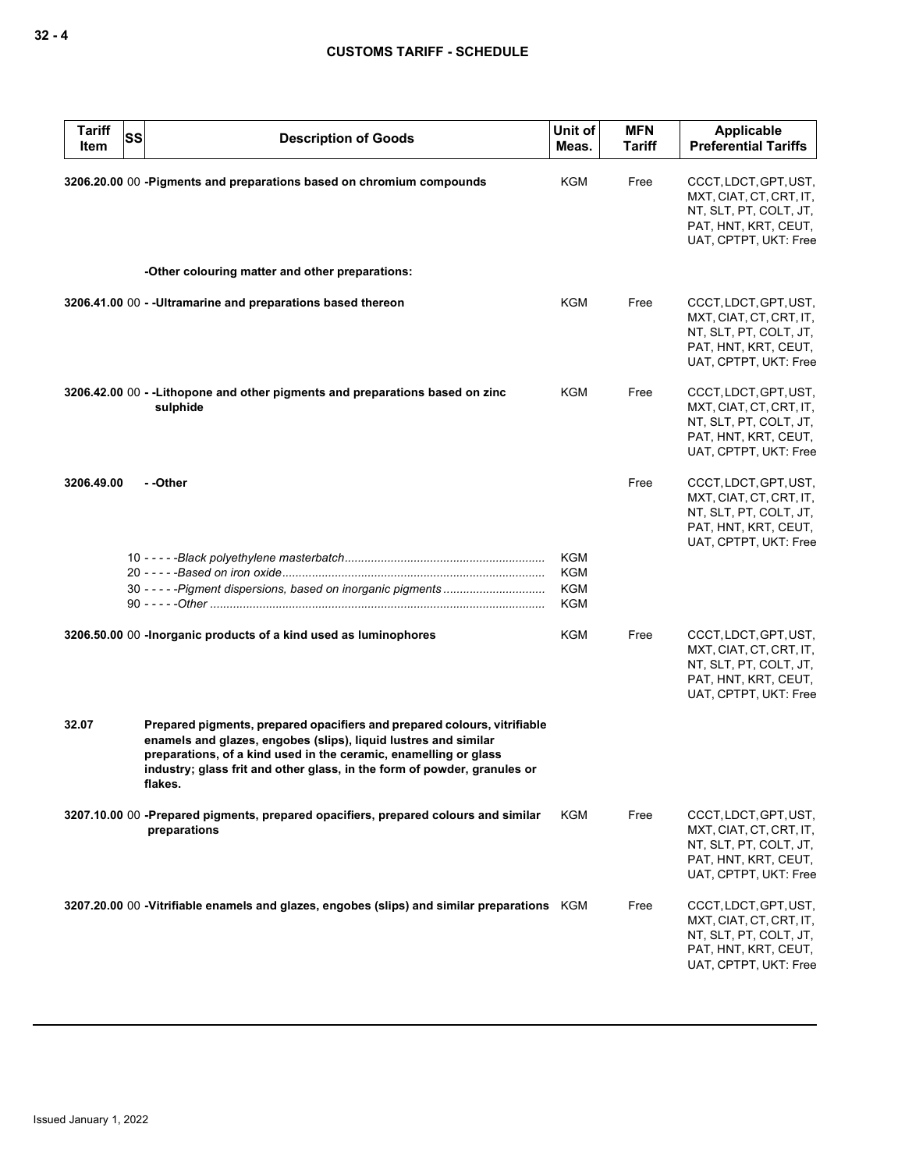| <b>Tariff</b><br>SS<br>Item | <b>Description of Goods</b>                                                                                                                                                                                                                                                                            | Unit of<br>Meas.                                     | <b>MFN</b><br><b>Tariff</b> | <b>Applicable</b><br><b>Preferential Tariffs</b>                                                                            |
|-----------------------------|--------------------------------------------------------------------------------------------------------------------------------------------------------------------------------------------------------------------------------------------------------------------------------------------------------|------------------------------------------------------|-----------------------------|-----------------------------------------------------------------------------------------------------------------------------|
|                             | 3206.20.00 00 - Pigments and preparations based on chromium compounds                                                                                                                                                                                                                                  | <b>KGM</b>                                           | Free                        | CCCT, LDCT, GPT, UST,<br>MXT, CIAT, CT, CRT, IT,<br>NT, SLT, PT, COLT, JT,<br>PAT, HNT, KRT, CEUT,<br>UAT, CPTPT, UKT: Free |
|                             | -Other colouring matter and other preparations:                                                                                                                                                                                                                                                        |                                                      |                             |                                                                                                                             |
|                             | 3206.41.00 00 - - Ultramarine and preparations based thereon                                                                                                                                                                                                                                           | <b>KGM</b>                                           | Free                        | CCCT, LDCT, GPT, UST,<br>MXT, CIAT, CT, CRT, IT,<br>NT, SLT, PT, COLT, JT,<br>PAT, HNT, KRT, CEUT,<br>UAT, CPTPT, UKT: Free |
|                             | 3206.42.00 00 - -Lithopone and other pigments and preparations based on zinc<br>sulphide                                                                                                                                                                                                               | KGM                                                  | Free                        | CCCT, LDCT, GPT, UST,<br>MXT, CIAT, CT, CRT, IT,<br>NT, SLT, PT, COLT, JT,<br>PAT, HNT, KRT, CEUT,<br>UAT, CPTPT, UKT: Free |
| 3206.49.00                  | - -Other                                                                                                                                                                                                                                                                                               |                                                      | Free                        | CCCT, LDCT, GPT, UST,<br>MXT, CIAT, CT, CRT, IT,<br>NT, SLT, PT, COLT, JT,<br>PAT, HNT, KRT, CEUT,<br>UAT, CPTPT, UKT: Free |
|                             | 30 - - - - - Pigment dispersions, based on inorganic pigments                                                                                                                                                                                                                                          | <b>KGM</b><br><b>KGM</b><br><b>KGM</b><br><b>KGM</b> |                             |                                                                                                                             |
|                             | 3206.50.00 00 - Inorganic products of a kind used as luminophores                                                                                                                                                                                                                                      | KGM                                                  | Free                        | CCCT, LDCT, GPT, UST,<br>MXT, CIAT, CT, CRT, IT,<br>NT, SLT, PT, COLT, JT,<br>PAT, HNT, KRT, CEUT,<br>UAT, CPTPT, UKT: Free |
| 32.07                       | Prepared pigments, prepared opacifiers and prepared colours, vitrifiable<br>enamels and glazes, engobes (slips), liquid lustres and similar<br>preparations, of a kind used in the ceramic, enamelling or glass<br>industry; glass frit and other glass, in the form of powder, granules or<br>flakes. |                                                      |                             |                                                                                                                             |
|                             | 3207.10.00 00 -Prepared pigments, prepared opacifiers, prepared colours and similar<br>preparations                                                                                                                                                                                                    | KGM                                                  | Free                        | CCCT, LDCT, GPT, UST,<br>MXT, CIAT, CT, CRT, IT,<br>NT, SLT, PT, COLT, JT,<br>PAT, HNT, KRT, CEUT,<br>UAT, CPTPT, UKT: Free |
|                             | 3207.20.00 00 -Vitrifiable enamels and glazes, engobes (slips) and similar preparations KGM                                                                                                                                                                                                            |                                                      | Free                        | CCCT, LDCT, GPT, UST,<br>MXT, CIAT, CT, CRT, IT,<br>NT, SLT, PT, COLT, JT,<br>PAT, HNT, KRT, CEUT,<br>UAT, CPTPT, UKT: Free |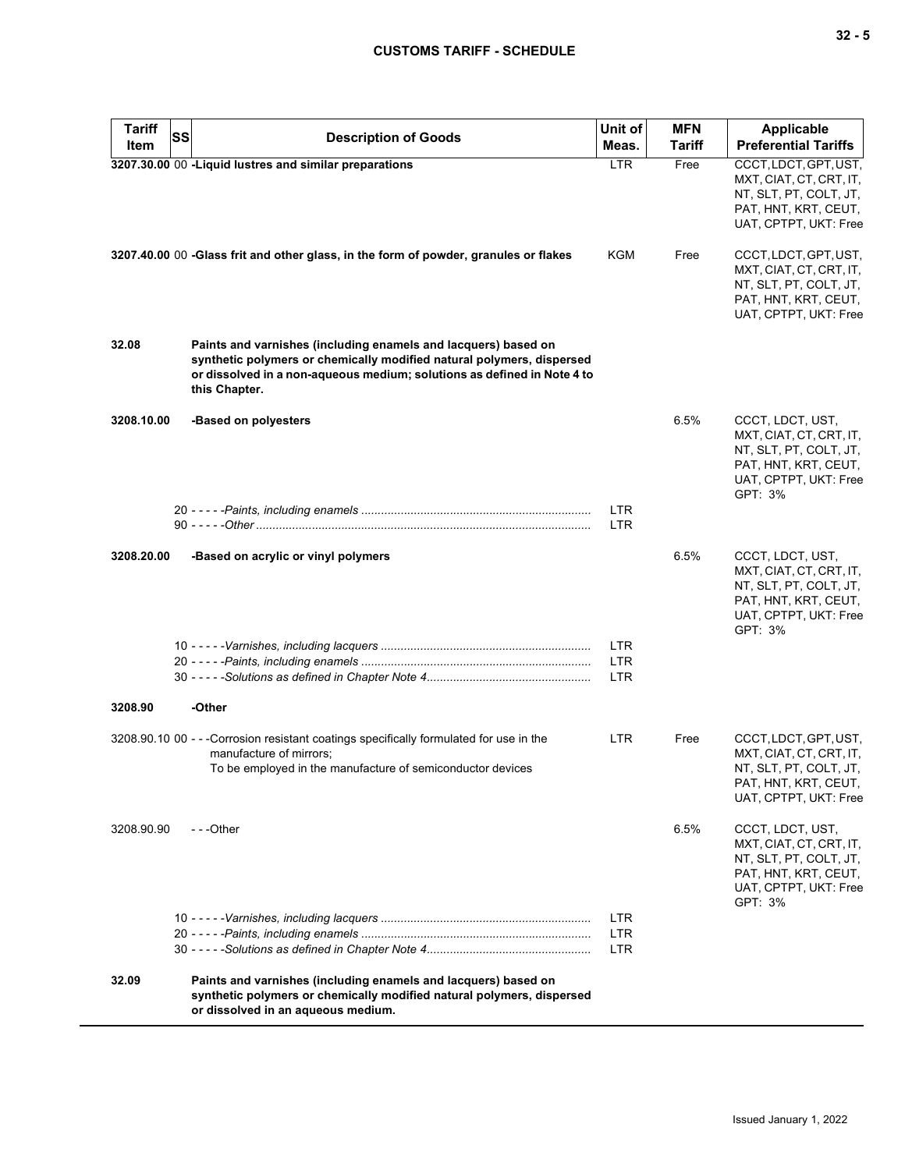| <b>Tariff</b><br>Item | <b>SS</b><br><b>Description of Goods</b>                                                                                                                                                                                            | Unit of<br>Meas.                       | <b>MFN</b><br><b>Tariff</b> | Applicable<br><b>Preferential Tariffs</b>                                                                                         |
|-----------------------|-------------------------------------------------------------------------------------------------------------------------------------------------------------------------------------------------------------------------------------|----------------------------------------|-----------------------------|-----------------------------------------------------------------------------------------------------------------------------------|
|                       | 3207.30.00 00 - Liquid lustres and similar preparations                                                                                                                                                                             | <b>LTR</b>                             | Free                        | CCCT, LDCT, GPT, UST,                                                                                                             |
|                       |                                                                                                                                                                                                                                     |                                        |                             | MXT, CIAT, CT, CRT, IT,<br>NT, SLT, PT, COLT, JT,<br>PAT, HNT, KRT, CEUT,<br>UAT, CPTPT, UKT: Free                                |
|                       | 3207.40.00 00 -Glass frit and other glass, in the form of powder, granules or flakes                                                                                                                                                | KGM                                    | Free                        | CCCT, LDCT, GPT, UST,<br>MXT, CIAT, CT, CRT, IT,<br>NT, SLT, PT, COLT, JT,<br>PAT, HNT, KRT, CEUT,<br>UAT, CPTPT, UKT: Free       |
| 32.08                 | Paints and varnishes (including enamels and lacquers) based on<br>synthetic polymers or chemically modified natural polymers, dispersed<br>or dissolved in a non-aqueous medium; solutions as defined in Note 4 to<br>this Chapter. |                                        |                             |                                                                                                                                   |
| 3208.10.00            | -Based on polyesters                                                                                                                                                                                                                |                                        | 6.5%                        | CCCT, LDCT, UST,<br>MXT, CIAT, CT, CRT, IT,<br>NT, SLT, PT, COLT, JT,<br>PAT, HNT, KRT, CEUT,<br>UAT, CPTPT, UKT: Free<br>GPT: 3% |
|                       |                                                                                                                                                                                                                                     | LTR.<br><b>LTR</b>                     |                             |                                                                                                                                   |
| 3208.20.00            | -Based on acrylic or vinyl polymers                                                                                                                                                                                                 |                                        | 6.5%                        | CCCT, LDCT, UST,<br>MXT, CIAT, CT, CRT, IT,<br>NT, SLT, PT, COLT, JT,<br>PAT, HNT, KRT, CEUT,<br>UAT, CPTPT, UKT: Free<br>GPT: 3% |
|                       |                                                                                                                                                                                                                                     | <b>LTR</b><br><b>LTR</b><br><b>LTR</b> |                             |                                                                                                                                   |
| 3208.90               | -Other                                                                                                                                                                                                                              |                                        |                             |                                                                                                                                   |
|                       | 3208.90.10 00 - - -Corrosion resistant coatings specifically formulated for use in the<br>manufacture of mirrors;<br>To be employed in the manufacture of semiconductor devices                                                     | <b>LTR</b>                             | Free                        | CCCT, LDCT, GPT, UST,<br>MXT, CIAT, CT, CRT, IT,<br>NT, SLT, PT, COLT, JT,<br>PAT, HNT, KRT, CEUT,<br>UAT, CPTPT, UKT: Free       |
| 3208.90.90            | - - -Other                                                                                                                                                                                                                          |                                        | 6.5%                        | CCCT, LDCT, UST,<br>MXT, CIAT, CT, CRT, IT,<br>NT, SLT, PT, COLT, JT,<br>PAT, HNT, KRT, CEUT,<br>UAT, CPTPT, UKT: Free<br>GPT: 3% |
|                       |                                                                                                                                                                                                                                     | LTR.<br><b>LTR</b><br><b>LTR</b>       |                             |                                                                                                                                   |
| 32.09                 | Paints and varnishes (including enamels and lacquers) based on<br>synthetic polymers or chemically modified natural polymers, dispersed<br>or dissolved in an aqueous medium.                                                       |                                        |                             |                                                                                                                                   |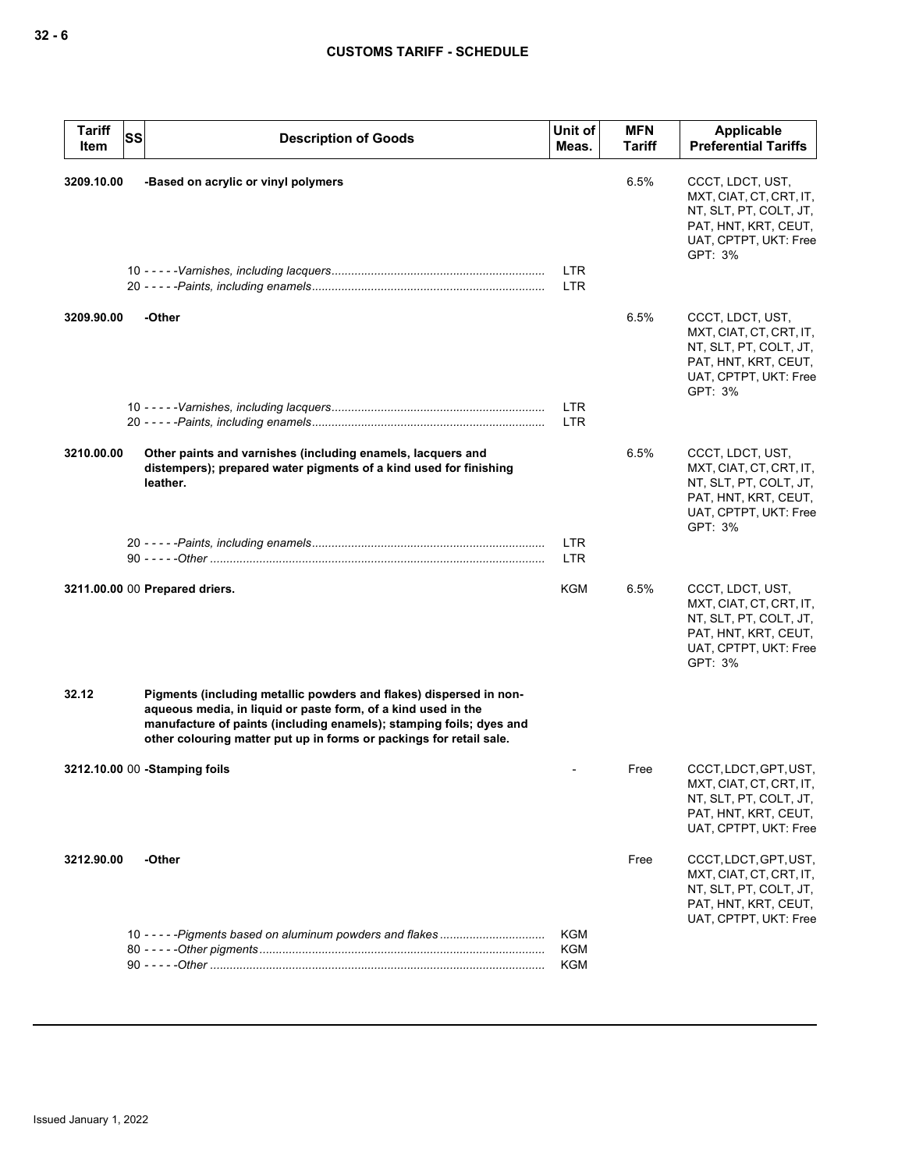| <b>Tariff</b><br>Item | <b>SS</b> | <b>Description of Goods</b>                                                                                                                                                                                                                                                       | Unit of<br>Meas.                       | <b>MFN</b><br>Tariff | <b>Applicable</b><br><b>Preferential Tariffs</b>                                                                                  |
|-----------------------|-----------|-----------------------------------------------------------------------------------------------------------------------------------------------------------------------------------------------------------------------------------------------------------------------------------|----------------------------------------|----------------------|-----------------------------------------------------------------------------------------------------------------------------------|
| 3209.10.00            |           | -Based on acrylic or vinyl polymers                                                                                                                                                                                                                                               | LTR                                    | 6.5%                 | CCCT, LDCT, UST,<br>MXT, CIAT, CT, CRT, IT,<br>NT, SLT, PT, COLT, JT,<br>PAT, HNT, KRT, CEUT,<br>UAT, CPTPT, UKT: Free<br>GPT: 3% |
|                       |           |                                                                                                                                                                                                                                                                                   | <b>LTR</b>                             |                      |                                                                                                                                   |
| 3209.90.00            |           | -Other                                                                                                                                                                                                                                                                            |                                        | 6.5%                 | CCCT, LDCT, UST,<br>MXT, CIAT, CT, CRT, IT,<br>NT, SLT, PT, COLT, JT,<br>PAT, HNT, KRT, CEUT,<br>UAT, CPTPT, UKT: Free<br>GPT: 3% |
|                       |           |                                                                                                                                                                                                                                                                                   | LTR<br>LTR                             |                      |                                                                                                                                   |
| 3210.00.00            |           | Other paints and varnishes (including enamels, lacquers and<br>distempers); prepared water pigments of a kind used for finishing<br>leather.                                                                                                                                      |                                        | 6.5%                 | CCCT, LDCT, UST,<br>MXT, CIAT, CT, CRT, IT,<br>NT, SLT, PT, COLT, JT,<br>PAT, HNT, KRT, CEUT,<br>UAT, CPTPT, UKT: Free<br>GPT: 3% |
|                       |           |                                                                                                                                                                                                                                                                                   | LTR.<br><b>LTR</b>                     |                      |                                                                                                                                   |
|                       |           | 3211.00.00 00 Prepared driers.                                                                                                                                                                                                                                                    | KGM                                    | 6.5%                 | CCCT, LDCT, UST,<br>MXT, CIAT, CT, CRT, IT,<br>NT, SLT, PT, COLT, JT,<br>PAT, HNT, KRT, CEUT,<br>UAT, CPTPT, UKT: Free<br>GPT: 3% |
| 32.12                 |           | Pigments (including metallic powders and flakes) dispersed in non-<br>aqueous media, in liquid or paste form, of a kind used in the<br>manufacture of paints (including enamels); stamping foils; dyes and<br>other colouring matter put up in forms or packings for retail sale. |                                        |                      |                                                                                                                                   |
|                       |           | 3212.10.00 00 -Stamping foils                                                                                                                                                                                                                                                     |                                        | Free                 | CCCT, LDCT, GPT, UST,<br>MXT, CIAT, CT, CRT, IT,<br>NT, SLT, PT, COLT, JT,<br>PAT, HNT, KRT, CEUT,<br>UAT, CPTPT, UKT: Free       |
| 3212.90.00            |           | -Other                                                                                                                                                                                                                                                                            |                                        | Free                 | CCCT, LDCT, GPT, UST,<br>MXT, CIAT, CT, CRT, IT,<br>NT, SLT, PT, COLT, JT,<br>PAT, HNT, KRT, CEUT,<br>UAT, CPTPT, UKT: Free       |
|                       |           |                                                                                                                                                                                                                                                                                   | <b>KGM</b><br><b>KGM</b><br><b>KGM</b> |                      |                                                                                                                                   |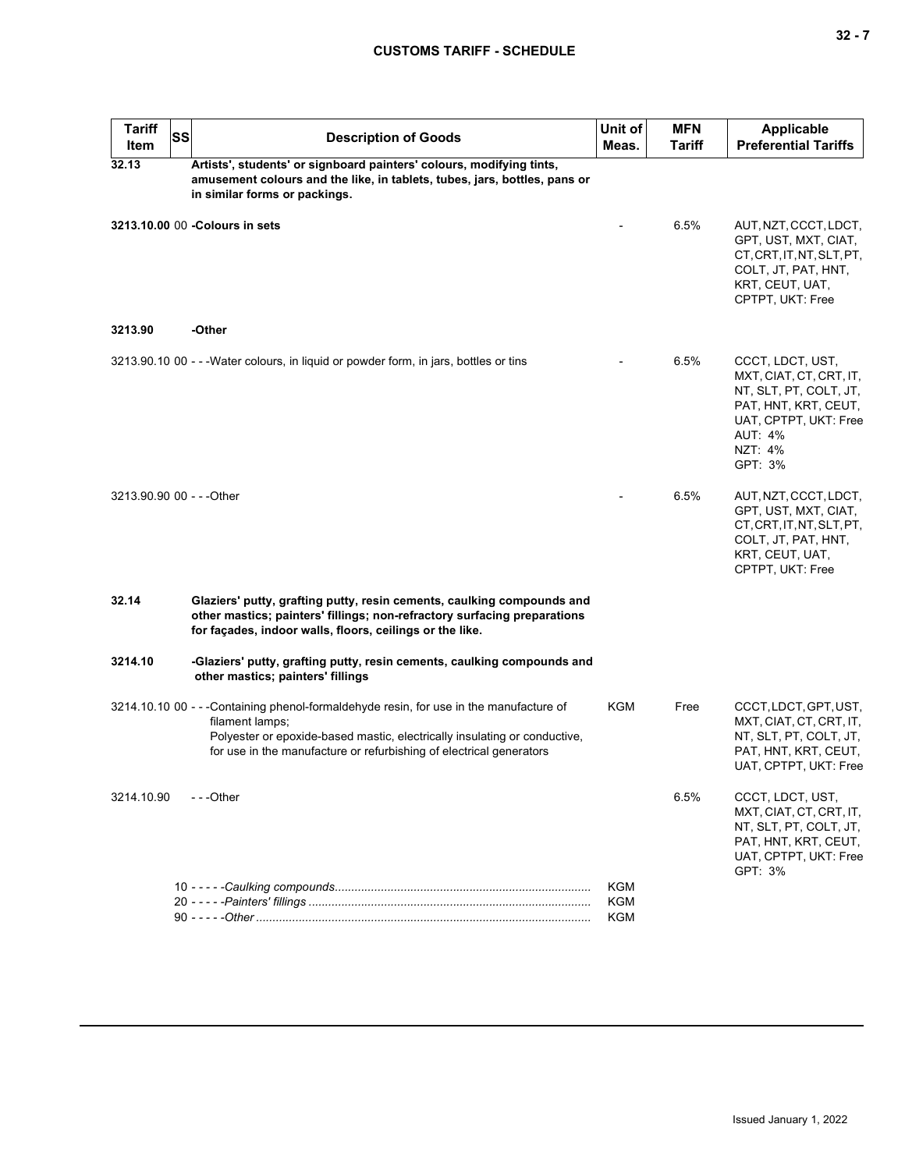# **CUSTOMS TARIFF - SCHEDULE**

| <b>Tariff</b><br>Item     | <b>SS</b> | <b>Description of Goods</b>                                                                                                                                                                                                                                   | Unit of<br>Meas.         | <b>MFN</b><br>Tariff | <b>Applicable</b><br><b>Preferential Tariffs</b>                                                                                                               |
|---------------------------|-----------|---------------------------------------------------------------------------------------------------------------------------------------------------------------------------------------------------------------------------------------------------------------|--------------------------|----------------------|----------------------------------------------------------------------------------------------------------------------------------------------------------------|
| 32.13                     |           | Artists', students' or signboard painters' colours, modifying tints,<br>amusement colours and the like, in tablets, tubes, jars, bottles, pans or<br>in similar forms or packings.                                                                            |                          |                      |                                                                                                                                                                |
|                           |           | 3213.10.00 00 - Colours in sets                                                                                                                                                                                                                               |                          | 6.5%                 | AUT, NZT, CCCT, LDCT,<br>GPT, UST, MXT, CIAT,<br>CT, CRT, IT, NT, SLT, PT,<br>COLT, JT, PAT, HNT,<br>KRT, CEUT, UAT,<br>CPTPT, UKT: Free                       |
| 3213.90                   |           | -Other                                                                                                                                                                                                                                                        |                          |                      |                                                                                                                                                                |
|                           |           | 3213.90.10 00 - - -Water colours, in liquid or powder form, in jars, bottles or tins                                                                                                                                                                          |                          | 6.5%                 | CCCT, LDCT, UST,<br>MXT, CIAT, CT, CRT, IT,<br>NT, SLT, PT, COLT, JT,<br>PAT, HNT, KRT, CEUT,<br>UAT, CPTPT, UKT: Free<br><b>AUT: 4%</b><br>NZT: 4%<br>GPT: 3% |
| 3213.90.90 00 - - - Other |           |                                                                                                                                                                                                                                                               |                          | 6.5%                 | AUT, NZT, CCCT, LDCT,<br>GPT, UST, MXT, CIAT,<br>CT, CRT, IT, NT, SLT, PT,<br>COLT, JT, PAT, HNT,<br>KRT, CEUT, UAT,<br>CPTPT, UKT: Free                       |
| 32.14                     |           | Glaziers' putty, grafting putty, resin cements, caulking compounds and<br>other mastics; painters' fillings; non-refractory surfacing preparations<br>for façades, indoor walls, floors, ceilings or the like.                                                |                          |                      |                                                                                                                                                                |
| 3214.10                   |           | -Glaziers' putty, grafting putty, resin cements, caulking compounds and<br>other mastics; painters' fillings                                                                                                                                                  |                          |                      |                                                                                                                                                                |
|                           |           | 3214.10.10 00 - - -Containing phenol-formaldehyde resin, for use in the manufacture of<br>filament lamps;<br>Polyester or epoxide-based mastic, electrically insulating or conductive,<br>for use in the manufacture or refurbishing of electrical generators | KGM                      | Free                 | CCCT, LDCT, GPT, UST,<br>MXT, CIAT, CT, CRT, IT,<br>NT, SLT, PT, COLT, JT,<br>PAT, HNT, KRT, CEUT,<br>UAT, CPTPT, UKT: Free                                    |
| 3214.10.90                |           | ---Other                                                                                                                                                                                                                                                      |                          | 6.5%                 | CCCT, LDCT, UST,<br>MXT, CIAT, CT, CRT, IT,<br>NT, SLT, PT, COLT, JT,<br>PAT, HNT, KRT, CEUT,<br>UAT, CPTPT, UKT: Free<br>GPT: 3%                              |
|                           |           |                                                                                                                                                                                                                                                               | <b>KGM</b>               |                      |                                                                                                                                                                |
|                           |           |                                                                                                                                                                                                                                                               | <b>KGM</b><br><b>KGM</b> |                      |                                                                                                                                                                |